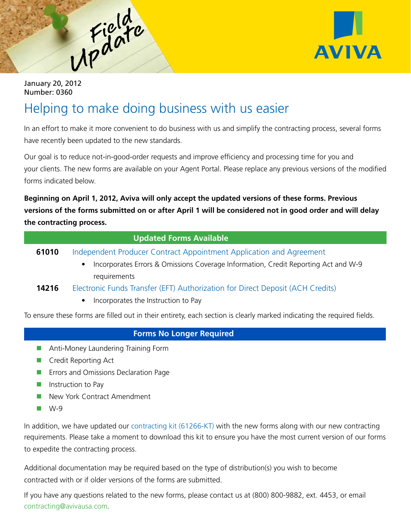



#### January 20, 2012 Number: 0360

# Helping to make doing business with us easier

In an effort to make it more convenient to do business with us and simplify the contracting process, several forms have recently been updated to the new standards.

Our goal is to reduce not-in-good-order requests and improve efficiency and processing time for you and your clients. The new forms are available on your Agent Portal. Please replace any previous versions of the modified forms indicated below.

### **Beginning on April 1, 2012, Aviva will only accept the updated versions of these forms. Previous versions of the forms submitted on or after April 1 will be considered not in good order and will delay the contracting process.**

|                                                                                                                        | <b>Updated Forms Available</b>                                                                                                     |  |  |  |
|------------------------------------------------------------------------------------------------------------------------|------------------------------------------------------------------------------------------------------------------------------------|--|--|--|
| 61010                                                                                                                  | Independent Producer Contract Appointment Application and Agreement                                                                |  |  |  |
|                                                                                                                        | Incorporates Errors & Omissions Coverage Information, Credit Reporting Act and W-9<br>$\bullet$<br>requirements                    |  |  |  |
| 14216                                                                                                                  | Electronic Funds Transfer (EFT) Authorization for Direct Deposit (ACH Credits)<br>Incorporates the Instruction to Pay<br>$\bullet$ |  |  |  |
| To ensure these forms are filled out in their entirety, each section is clearly marked indicating the required fields. |                                                                                                                                    |  |  |  |

#### **Forms No Longer Required**

- **n** Anti-Money Laundering Training Form
- Credit Reporting Act
- **EXECUTE:** Errors and Omissions Declaration Page
- $\blacksquare$  Instruction to Pay
- New York Contract Amendment
- $N-9$

In addition, we have updated our [contracting kit \(61266-KT\)](#page-1-0) with the new forms along with our new contracting requirements. Please take a moment to download this kit to ensure you have the most current version of our forms to expedite the contracting process.

Additional documentation may be required based on the type of distribution(s) you wish to become contracted with or if older versions of the forms are submitted.

 $\text{contracting@avivausa.com}.$ If you have any questions related to the new forms, please contact us at (800) 800-9882, ext. 4453, or email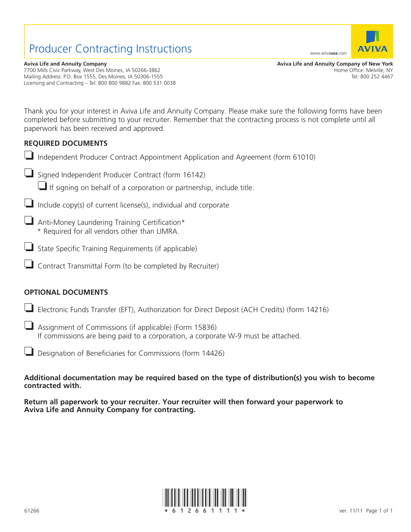# <span id="page-1-0"></span>Producer Contracting Instructions **With an Instruction** www.avivausa.com



**Aviva Life and Annuity Company** 7700 Mills Civic Parkway, West Des Moines, IA 50266-3862 Mailing Address: P.O. Box 1555, Des Moines, IA 50306-1555 Licensing and Contracting – Tel: 800 800 9882 Fax: 800 531 0038 **Aviva Life and Annuity Company of New York** Home Office: Melville, NY Tel: 800 252 4467

Thank you for your interest in Aviva Life and Annuity Company. Please make sure the following forms have been completed before submitting to your recruiter. Remember that the contracting process is not complete until all paperwork has been received and approved.

#### **REQUIRED DOCUMENTS**

| Independent Producer Contract Appointment Application and Agreement (form 61010) |  |  |  |  |
|----------------------------------------------------------------------------------|--|--|--|--|

Signed Independent Producer Contract (form 16142)

|  |  |  |  |  |  |  | $\Box$ If signing on behalf of a corporation or partnership, include title. |
|--|--|--|--|--|--|--|-----------------------------------------------------------------------------|
|--|--|--|--|--|--|--|-----------------------------------------------------------------------------|

- Include copy(s) of current license(s), individual and corporate
- **L** Anti-Money Laundering Training Certification\* \* Required for all vendors other than LIMRA.
- State Specific Training Requirements (if applicable)
- $\Box$  Contract Transmittal Form (to be completed by Recruiter)

#### **OPTIONAL DOCUMENTS**

o Electronic Funds Transfer (EFT), Authorization for Direct Deposit (ACH Credits) (form 14216)

 $\Box$  Assignment of Commissions (if applicable) (Form 15836) If commissions are being paid to a corporation, a corporate W-9 must be attached.

 $\Box$  Designation of Beneficiaries for Commissions (form 14426)

#### **Additional documentation may be required based on the type of distribution(s) you wish to become contracted with.**

**Return all paperwork to your recruiter. Your recruiter will then forward your paperwork to Aviva Life and Annuity Company for contracting.** 

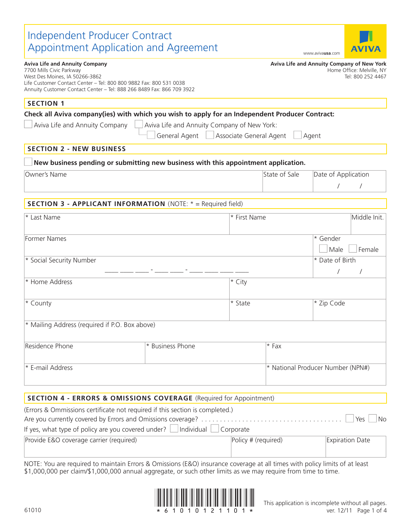## <span id="page-2-0"></span>Independent Producer Contract Appointment Application and Agreement **Application** and Agreement

Home Office: Melville, NY Tel: 800 252 4467

**Aviva Life and Annuity Company of New York**

#### **Aviva Life and Annuity Company**

7700 Mills Civic Parkway West Des Moines, IA 50266-3862 Life Customer Contact Center – Tel: 800 800 9882 Fax: 800 531 0038 Annuity Customer Contact Center – Tel: 888 266 8489 Fax: 866 709 3922

#### **SECTION 1**

#### **Check all Aviva company(ies) with which you wish to apply for an Independent Producer Contract:**

Aviva Life and Annuity Company  $\Box$  Aviva Life and Annuity Company of New York:

General Agent **Associate General Agent** Agent

#### **SECTION 2 - new business**

|  | New business pending or submitting new business with this appointment application. |  |  |
|--|------------------------------------------------------------------------------------|--|--|
|  |                                                                                    |  |  |

| Owner's Name | State of Sale | Date of Application |  |
|--------------|---------------|---------------------|--|
|              |               |                     |  |

#### **SECTION 3 - APPLICANT INFORMATION** (NOTE: \* = Required field)

| * Last Name                                    |                                     | * First Name                 |                                   |                  | Middle Init. |
|------------------------------------------------|-------------------------------------|------------------------------|-----------------------------------|------------------|--------------|
| Former Names                                   |                                     |                              |                                   | * Gender<br>Male | Female       |
| * Social Security Number                       |                                     |                              |                                   | * Date of Birth  |              |
|                                                | <u> - 1999 - 1999 - 1999 - 1999</u> |                              |                                   | $\sqrt{2}$       | $\sqrt{2}$   |
| * Home Address                                 |                                     | $\vert * \mathsf{City}\vert$ |                                   |                  |              |
| * County                                       |                                     | * State                      |                                   | * Zip Code       |              |
| * Mailing Address (required if P.O. Box above) |                                     |                              |                                   |                  |              |
| Residence Phone                                | * Business Phone                    |                              | $*$ Fax                           |                  |              |
| * E-mail Address                               |                                     |                              | * National Producer Number (NPN#) |                  |              |

#### **SECTION 4 - errors & omissions coverage** (Required for Appointment)

| (Errors & Ommissions certificate not required if this section is completed.)          |                     |                 |  |  |
|---------------------------------------------------------------------------------------|---------------------|-----------------|--|--|
|                                                                                       |                     |                 |  |  |
| If yes, what type of policy are you covered under? $\Box$ Individual $\Box$ Corporate |                     |                 |  |  |
| Provide E&O coverage carrier (required)                                               | Policy # (required) | Expiration Date |  |  |

NOTE: You are required to maintain Errors & Omissions (E&O) insurance coverage at all times with policy limits of at least \$1,000,000 per claim/\$1,000,000 annual aggregate, or such other limits as we may require from time to time.

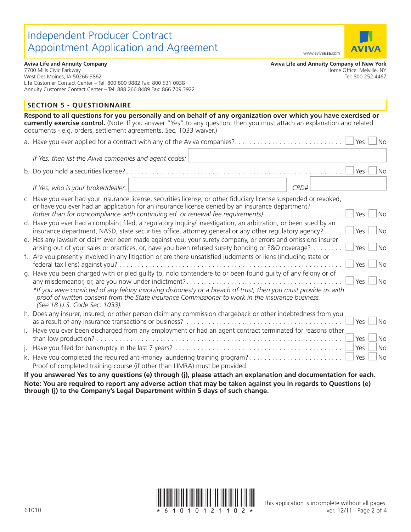|              | Appointment Application and Agreement                                                                                                                                                                                                                                                                                                                                                                                     | www.avivausa.com                           | <b>AVIVA</b>                                   |
|--------------|---------------------------------------------------------------------------------------------------------------------------------------------------------------------------------------------------------------------------------------------------------------------------------------------------------------------------------------------------------------------------------------------------------------------------|--------------------------------------------|------------------------------------------------|
|              | <b>Aviva Life and Annuity Company</b><br>7700 Mills Civic Parkway<br>West Des Moines, IA 50266-3862<br>Life Customer Contact Center - Tel: 800 800 9882 Fax: 800 531 0038<br>Annuity Customer Contact Center - Tel: 888 266 8489 Fax: 866 709 3922                                                                                                                                                                        | Aviva Life and Annuity Company of New York | Home Office: Melville, NY<br>Tel: 800 252 4467 |
|              | <b>SECTION 5 - QUESTIONNAIRE</b>                                                                                                                                                                                                                                                                                                                                                                                          |                                            |                                                |
|              | Respond to all questions for you personally and on behalf of any organization over which you have exercised or<br><b>currently exercise control.</b> (Note: If you answer "Yes" to any question, then you must attach an explanation and related<br>documents - e.g. orders, settlement agreements, Sec. 1033 waiver.)                                                                                                    |                                            |                                                |
|              | a. Have you ever applied for a contract with any of the Aviva companies?                                                                                                                                                                                                                                                                                                                                                  |                                            | Yes<br>No                                      |
|              | If Yes, then list the Aviva companies and agent codes:                                                                                                                                                                                                                                                                                                                                                                    |                                            |                                                |
|              |                                                                                                                                                                                                                                                                                                                                                                                                                           |                                            | Yes<br><b>No</b>                               |
|              | If Yes, who is your broker/dealer:                                                                                                                                                                                                                                                                                                                                                                                        | CRD#                                       |                                                |
|              | c. Have you ever had your insurance license, securities license, or other fiduciary license suspended or revoked,<br>or have you ever had an application for an insurance license denied by an insurance department?<br>(other than for noncompliance with continuing ed. or renewal fee requirements)                                                                                                                    |                                            | Yes<br><b>No</b>                               |
|              | d. Have you ever had a complaint filed, a regulatory inquiry/ investigation, an arbitration, or been sued by an<br>insurance department, NASD, state securities office, attorney general or any other regulatory agency?                                                                                                                                                                                                  |                                            | Yes<br><b>No</b>                               |
|              | e. Has any lawsuit or claim ever been made against you, your surety company, or errors and omissions insurer<br>arising out of your sales or practices, or, have you been refused surety bonding or E&O coverage?                                                                                                                                                                                                         |                                            | Yes<br><b>No</b>                               |
|              | f. Are you presently involved in any litigation or are there unsatisfied judgments or liens (including state or                                                                                                                                                                                                                                                                                                           |                                            | Yes<br><b>No</b>                               |
|              | g. Have you been charged with or pled guilty to, nolo contendere to or been found guilty of any felony or of<br>any misdemeanor, or, are you now under indictment?<br>*If you were convicted of any felony involving dishonesty or a breach of trust, then you must provide us with<br>proof of written consent from the State Insurance Commissioner to work in the insurance business.<br>(See 18 U.S. Code Sec. 1033). |                                            | Yes<br><b>No</b>                               |
|              | h. Does any insurer, insured, or other person claim any commission chargeback or other indebtedness from you                                                                                                                                                                                                                                                                                                              |                                            | Yes<br><b>No</b>                               |
|              | i. Have you ever been discharged from any employment or had an agent contract terminated for reasons other                                                                                                                                                                                                                                                                                                                |                                            | Yes<br><b>No</b>                               |
| $\mathbf{L}$ |                                                                                                                                                                                                                                                                                                                                                                                                                           |                                            | Yes<br><b>No</b>                               |
|              | Proof of completed training course (if other than LIMRA) must be provided.                                                                                                                                                                                                                                                                                                                                                |                                            | Yes<br><b>No</b>                               |
|              | If you approved Ves to only weekings (a) theorigh (i), places oftents on composition and decreasementation for each                                                                                                                                                                                                                                                                                                       |                                            |                                                |

**If you answered Yes to any questions (e) through (j), please attach an explanation and documentation for each. Note: You are required to report any adverse action that may be taken against you in regards to Questions (e) through (j) to the Company's Legal Department within 5 days of such change.**



# Independent Producer Contract

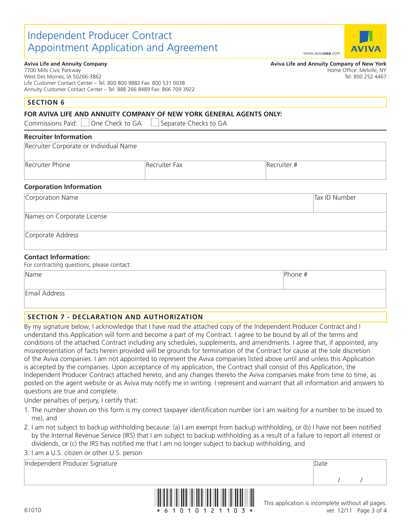## Independent Producer Contract Appointment Application and Agreement **Application** and Agreement

**Aviva Life and Annuity Company**

7700 Mills Civic Parkway West Des Moines, IA 50266-3862 Life Customer Contact Center – Tel: 800 800 9882 Fax: 800 531 0038 Annuity Customer Contact Center – Tel: 888 266 8489 Fax: 866 709 3922

#### **SECTION 6**

**For Aviva Life and Annuity Company of NEW YORK General Agents Only:**

Commissions Paid:  $\vert$  One Check to GA  $\vert$  Separate Checks to GA

#### **Recruiter Information**

| Recruiter Phone | Recruiter Fax | Recruiter # |
|-----------------|---------------|-------------|
|                 |               |             |

#### **Corporation Information**

| Corporation Name           | Tax ID Number |
|----------------------------|---------------|
| Names on Corporate License |               |
| Corporate Address          |               |
|                            |               |

#### **Contact Information:**

| For contracting questions, please contact: |           |  |  |  |
|--------------------------------------------|-----------|--|--|--|
| Name                                       | Phone $#$ |  |  |  |
| Email Address                              |           |  |  |  |

#### **SECTION 7 - DECLARATION AND AUTHORIZATION**

By my signature below, I acknowledge that I have read the attached copy of the Independent Producer Contract and I understand this Application will form and become a part of my Contract. I agree to be bound by all of the terms and conditions of the attached Contract including any schedules, supplements, and amendments. I agree that, if appointed, any misrepresentation of facts herein provided will be grounds for termination of the Contract for cause at the sole discretion of the Aviva companies. I am not appointed to represent the Aviva companies listed above until and unless this Application is accepted by the companies. Upon acceptance of my application, the Contract shall consist of this Application, the Independent Producer Contract attached hereto, and any changes thereto the Aviva companies make from time to time, as posted on the agent website or as Aviva may notify me in writing. I represent and warrant that all information and answers to questions are true and complete.

Under penalties of perjury, I certify that:

- 1. The number shown on this form is my correct taxpayer identification number (or I am waiting for a number to be issued to me), and
- 2. I am not subject to backup withholding because: (a) I am exempt from backup withholding, or (b) I have not been notified by the Internal Revenue Service (IRS) that I am subject to backup withholding as a result of a failure to report all interest or dividends, or (c) the IRS has notified me that I am no longer subject to backup withholding, and

3. I am a U.S. citizen or other U.S. person

Independent Producer Signature **Date of American Structure Control** Date Date of Date Date Date of Date Date of Date Date of Date of Date of Date of Date of Date of Date of Date of Date of Date of Date of Date of Date of D

/ /





Home Office: Melville, NY Tel: 800 252 4467

**Aviva Life and Annuity Company of New York**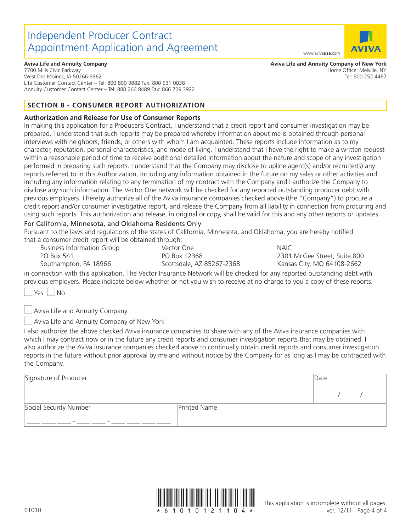## Independent Producer Contract Appointment Application and Agreement **Application** and Agreement

#### **Aviva Life and Annuity Company**

7700 Mills Civic Parkway West Des Moines, IA 50266-3862 Life Customer Contact Center – Tel: 800 800 9882 Fax: 800 531 0038 Annuity Customer Contact Center – Tel: 888 266 8489 Fax: 866 709 3922

#### **SECTION 8 - Consumer Report Authorization**

#### **Authorization and Release for Use of Consumer Reports**

In making this application for a Producer's Contract, I understand that a credit report and consumer investigation may be prepared. I understand that such reports may be prepared whereby information about me is obtained through personal interviews with neighbors, friends, or others with whom I am acquainted. These reports include information as to my character, reputation, personal characteristics, and mode of living. I understand that I have the right to make a written request within a reasonable period of time to receive additional detailed information about the nature and scope of any investigation performed in preparing such reports. I understand that the Company may disclose to upline agent(s) and/or recruiter(s) any reports referred to in this Authorization, including any information obtained in the future on my sales or other activities and including any information relating to any termination of my contract with the Company and I authorize the Company to disclose any such information. The Vector One network will be checked for any reported outstanding producer debt with previous employers. I hereby authorize all of the Aviva insurance companies checked above (the "Company") to procure a credit report and/or consumer investigative report, and release the Company from all liability in connection from procuring and using such reports. This authorization and release, in original or copy, shall be valid for this and any other reports or updates.

#### For California, Minnesota, and Oklahoma Residents Only

Pursuant to the laws and regulations of the states of California, Minnesota, and Oklahoma, you are hereby notified that a consumer credit report will be obtained through:

| <b>Business Information Group</b> |  |  |  |  |  |  |  |  |
|-----------------------------------|--|--|--|--|--|--|--|--|
| <b>PO Box 541</b>                 |  |  |  |  |  |  |  |  |
| Southampton, PA 18966             |  |  |  |  |  |  |  |  |

PO Box 12368 2301 McGee Street, Suite 800

Vector One NAIC

Scottsdale, AZ 85267-2368 Kansas City, MO 64108-2662

in connection with this application. The Vector Insurance Network will be checked for any reported outstanding debt with previous employers. Please indicate below whether or not you wish to receive at no charge to you a copy of these reports.

 $Yes$  No

Aviva Life and Annuity Company

Aviva Life and Annuity Company of New York

I also authorize the above checked Aviva insurance companies to share with any of the Aviva insurance companies with which I may contract now or in the future any credit reports and consumer investigation reports that may be obtained. I also authorize the Aviva insurance companies checked above to continually obtain credit reports and consumer investigation reports in the future without prior approval by me and without notice by the Company for as long as I may be contracted with the Company.

| Signature of Producer                                                          |              | Date |  |
|--------------------------------------------------------------------------------|--------------|------|--|
|                                                                                |              |      |  |
| Social Security Number<br>$\overline{\phantom{a}}$<br>$\overline{\phantom{a}}$ | Printed Name |      |  |



**Aviva Life and Annuity Company of New York** Home Office: Melville, NY Tel: 800 252 4467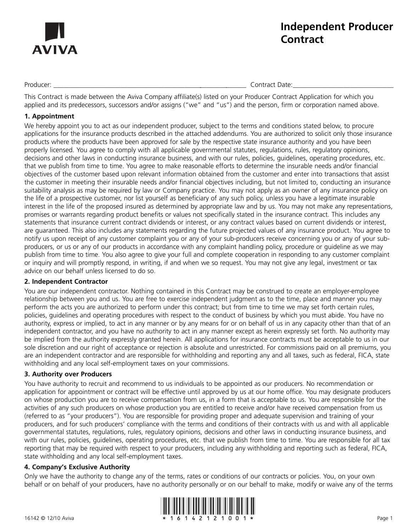

Producer: \_\_\_\_\_\_\_\_\_\_\_\_\_\_\_\_\_\_\_\_\_\_\_\_\_\_\_\_\_\_\_\_\_\_\_\_\_\_\_\_\_\_\_\_\_\_\_\_\_\_\_\_\_\_\_\_\_\_ Contract Date:\_\_\_\_\_\_\_\_\_\_\_\_\_\_\_\_\_\_\_\_\_\_\_\_\_\_\_\_\_\_

This Contract is made between the Aviva Company affiliate(s) listed on your Producer Contract Application for which you applied and its predecessors, successors and/or assigns ("we" and "us") and the person, firm or corporation named above.

#### **1. Appointment**

We hereby appoint you to act as our independent producer, subject to the terms and conditions stated below, to procure applications for the insurance products described in the attached addendums. You are authorized to solicit only those insurance products where the products have been approved for sale by the respective state insurance authority and you have been properly licensed. You agree to comply with all applicable governmental statutes, regulations, rules, regulatory opinions, decisions and other laws in conducting insurance business, and with our rules, policies, guidelines, operating procedures, etc. that we publish from time to time. You agree to make reasonable efforts to determine the insurable needs and/or financial objectives of the customer based upon relevant information obtained from the customer and enter into transactions that assist the customer in meeting their insurable needs and/or financial objectives including, but not limited to, conducting an insurance suitability analysis as may be required by law or Company practice. You may not apply as an owner of any insurance policy on the life of a prospective customer, nor list yourself as beneficiary of any such policy, unless you have a legitimate insurable interest in the life of the proposed insured as determined by appropriate law and by us. You may not make any representations, promises or warrants regarding product benefits or values not specifically stated in the insurance contract. This includes any statements that insurance current contract dividends or interest, or any contract values based on current dividends or interest, are guaranteed. This also includes any statements regarding the future projected values of any insurance product. You agree to notify us upon receipt of any customer complaint you or any of your sub-producers receive concerning you or any of your subproducers, or us or any of our products in accordance with any complaint handling policy, procedure or guideline as we may publish from time to time. You also agree to give your full and complete cooperation in responding to any customer complaint or inquiry and will promptly respond, in writing, if and when we so request. You may not give any legal, investment or tax advice on our behalf unless licensed to do so.

#### **2. Independent Contractor**

You are our independent contractor. Nothing contained in this Contract may be construed to create an employer-employee relationship between you and us. You are free to exercise independent judgment as to the time, place and manner you may perform the acts you are authorized to perform under this contract; but from time to time we may set forth certain rules, policies, guidelines and operating procedures with respect to the conduct of business by which you must abide. You have no authority, express or implied, to act in any manner or by any means for or on behalf of us in any capacity other than that of an independent contractor, and you have no authority to act in any manner except as herein expressly set forth. No authority may be implied from the authority expressly granted herein. All applications for insurance contracts must be acceptable to us in our sole discretion and our right of acceptance or rejection is absolute and unrestricted. For commissions paid on all premiums, you are an independent contractor and are responsible for withholding and reporting any and all taxes, such as federal, FICA, state withholding and any local self-employment taxes on your commissions.

#### **3. Authority over Producers**

You have authority to recruit and recommend to us individuals to be appointed as our producers. No recommendation or application for appointment or contract will be effective until approved by us at our home office. You may designate producers on whose production you are to receive compensation from us, in a form that is acceptable to us. You are responsible for the activities of any such producers on whose production you are entitled to receive and/or have received compensation from us (referred to as "your producers"). You are responsible for providing proper and adequate supervision and training of your producers, and for such producers' compliance with the terms and conditions of their contracts with us and with all applicable governmental statutes, regulations, rules, regulatory opinions, decisions and other laws in conducting insurance business, and with our rules, policies, guidelines, operating procedures, etc. that we publish from time to time. You are responsible for all tax reporting that may be required with respect to your producers, including any withholding and reporting such as federal, FICA, state withholding and any local self-employment taxes.

#### **4. Company's Exclusive Authority**

Only we have the authority to change any of the terms, rates or conditions of our contracts or policies. You, on your own behalf or on behalf of your producers, have no authority personally or on our behalf to make, modify or waive any of the terms

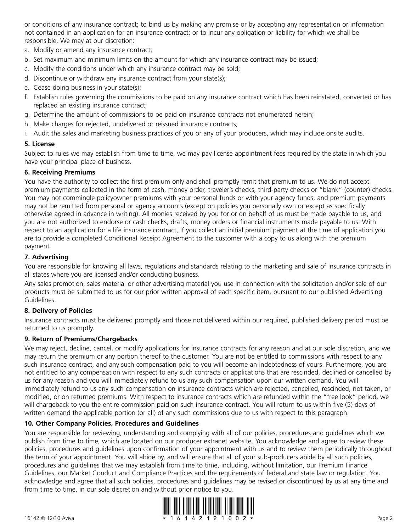or conditions of any insurance contract; to bind us by making any promise or by accepting any representation or information not contained in an application for an insurance contract; or to incur any obligation or liability for which we shall be responsible. We may at our discretion:

- a. Modify or amend any insurance contract;
- b. Set maximum and minimum limits on the amount for which any insurance contract may be issued;
- c. Modify the conditions under which any insurance contract may be sold;
- d. Discontinue or withdraw any insurance contract from your state(s);
- e. Cease doing business in your state(s);
- f. Establish rules governing the commissions to be paid on any insurance contract which has been reinstated, converted or has replaced an existing insurance contract;
- g. Determine the amount of commissions to be paid on insurance contracts not enumerated herein;
- h. Make charges for rejected, undelivered or reissued insurance contracts;
- i. Audit the sales and marketing business practices of you or any of your producers, which may include onsite audits.

#### **5. License**

Subject to rules we may establish from time to time, we may pay license appointment fees required by the state in which you have your principal place of business.

#### **6. Receiving Premiums**

You have the authority to collect the first premium only and shall promptly remit that premium to us. We do not accept premium payments collected in the form of cash, money order, traveler's checks, third-party checks or "blank" (counter) checks. You may not commingle policyowner premiums with your personal funds or with your agency funds, and premium payments may not be remitted from personal or agency accounts (except on policies you personally own or except as specifically otherwise agreed in advance in writing). All monies received by you for or on behalf of us must be made payable to us, and you are not authorized to endorse or cash checks, drafts, money orders or financial instruments made payable to us. With respect to an application for a life insurance contract, if you collect an initial premium payment at the time of application you are to provide a completed Conditional Receipt Agreement to the customer with a copy to us along with the premium payment.

#### **7. Advertising**

You are responsible for knowing all laws, regulations and standards relating to the marketing and sale of insurance contracts in all states where you are licensed and/or conducting business.

Any sales promotion, sales material or other advertising material you use in connection with the solicitation and/or sale of our products must be submitted to us for our prior written approval of each specific item, pursuant to our published Advertising Guidelines.

#### **8. Delivery of Policies**

Insurance contracts must be delivered promptly and those not delivered within our required, published delivery period must be returned to us promptly.

#### **9. Return of Premiums/Chargebacks**

We may reject, decline, cancel, or modify applications for insurance contracts for any reason and at our sole discretion, and we may return the premium or any portion thereof to the customer. You are not be entitled to commissions with respect to any such insurance contract, and any such compensation paid to you will become an indebtedness of yours. Furthermore, you are not entitled to any compensation with respect to any such contracts or applications that are rescinded, declined or cancelled by us for any reason and you will immediately refund to us any such compensation upon our written demand. You will immediately refund to us any such compensation on insurance contracts which are rejected, cancelled, rescinded, not taken, or modified, or on returned premiums. With respect to insurance contracts which are refunded within the "free look" period, we will chargeback to you the entire commission paid on such insurance contract. You will return to us within five (5) days of written demand the applicable portion (or all) of any such commissions due to us with respect to this paragraph.

#### **10. Other Company Policies, Procedures and Guidelines**

You are responsible for reviewing, understanding and complying with all of our policies, procedures and guidelines which we publish from time to time, which are located on our producer extranet website. You acknowledge and agree to review these policies, procedures and guidelines upon confirmation of your appointment with us and to review them periodically throughout the term of your appointment. You will abide by, and will ensure that all of your sub-producers abide by all such policies, procedures and guidelines that we may establish from time to time, including, without limitation, our Premium Finance Guidelines, our Market Conduct and Compliance Practices and the requirements of federal and state law or regulation. You acknowledge and agree that all such policies, procedures and guidelines may be revised or discontinued by us at any time and from time to time, in our sole discretion and without prior notice to you.

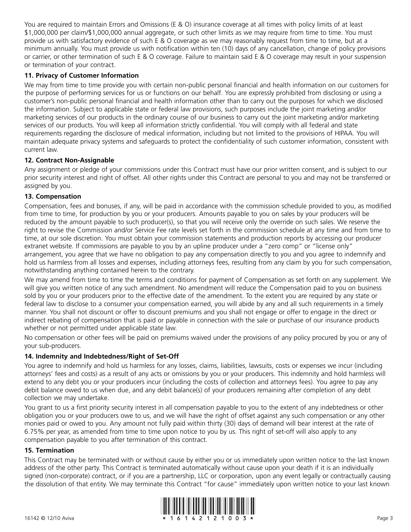You are required to maintain Errors and Omissions (E & O) insurance coverage at all times with policy limits of at least \$1,000,000 per claim/\$1,000,000 annual aggregate, or such other limits as we may require from time to time. You must provide us with satisfactory evidence of such E & O coverage as we may reasonably request from time to time, but at a minimum annually. You must provide us with notification within ten (10) days of any cancellation, change of policy provisions or carrier, or other termination of such E & O coverage. Failure to maintain said E & O coverage may result in your suspension or termination of your contract.

#### **11. Privacy of Customer Information**

We may from time to time provide you with certain non-public personal financial and health information on our customers for the purpose of performing services for us or functions on our behalf. You are expressly prohibited from disclosing or using a customer's non-public personal financial and health information other than to carry out the purposes for which we disclosed the information. Subject to applicable state or federal law provisions, such purposes include the joint marketing and/or marketing services of our products in the ordinary course of our business to carry out the joint marketing and/or marketing services of our products. You will keep all information strictly confidential. You will comply with all federal and state requirements regarding the disclosure of medical information, including but not limited to the provisions of HIPAA. You will maintain adequate privacy systems and safeguards to protect the confidentiality of such customer information, consistent with current law.

#### **12. Contract Non-Assignable**

Any assignment or pledge of your commissions under this Contract must have our prior written consent, and is subject to our prior security interest and right of offset. All other rights under this Contract are personal to you and may not be transferred or assigned by you.

#### **13. Compensation**

Compensation, fees and bonuses, if any, will be paid in accordance with the commission schedule provided to you, as modified from time to time, for production by you or your producers. Amounts payable to you on sales by your producers will be reduced by the amount payable to such producer(s), so that you will receive only the override on such sales. We reserve the right to revise the Commission and/or Service Fee rate levels set forth in the commission schedule at any time and from time to time, at our sole discretion. You must obtain your commission statements and production reports by accessing our producer extranet website. If commissions are payable to you by an upline producer under a "zero comp" or "license only" arrangement, you agree that we have no obligation to pay any compensation directly to you and you agree to indemnify and hold us harmless from all losses and expenses, including attorneys fees, resulting from any claim by you for such compensation, notwithstanding anything contained herein to the contrary.

We may amend from time to time the terms and conditions for payment of Compensation as set forth on any supplement. We will give you written notice of any such amendment. No amendment will reduce the Compensation paid to you on business sold by you or your producers prior to the effective date of the amendment. To the extent you are required by any state or federal law to disclose to a consumer your compensation earned, you will abide by any and all such requirements in a timely manner. You shall not discount or offer to discount premiums and you shall not engage or offer to engage in the direct or indirect rebating of compensation that is paid or payable in connection with the sale or purchase of our insurance products whether or not permitted under applicable state law.

No compensation or other fees will be paid on premiums waived under the provisions of any policy procured by you or any of your sub-producers.

#### **14. Indemnity and Indebtedness/Right of Set-Off**

You agree to indemnify and hold us harmless for any losses, claims, liabilities, lawsuits, costs or expenses we incur (including attorneys' fees and costs) as a result of any acts or omissions by you or your producers. This indemnity and hold harmless will extend to any debt you or your producers incur (including the costs of collection and attorneys fees). You agree to pay any debit balance owed to us when due, and any debit balance(s) of your producers remaining after completion of any debt collection we may undertake.

You grant to us a first priority security interest in all compensation payable to you to the extent of any indebtedness or other obligation you or your producers owe to us, and we will have the right of offset against any such compensation or any other monies paid or owed to you. Any amount not fully paid within thirty (30) days of demand will bear interest at the rate of 6.75% per year, as amended from time to time upon notice to you by us. This right of set-off will also apply to any compensation payable to you after termination of this contract.

#### **15. Termination**

This Contract may be terminated with or without cause by either you or us immediately upon written notice to the last known address of the other party. This Contract is terminated automatically without cause upon your death if it is an individually signed (non-corporate) contract, or if you are a partnership, LLC or corporation, upon any event legally or contractually causing the dissolution of that entity. We may terminate this Contract "for cause" immediately upon written notice to your last known

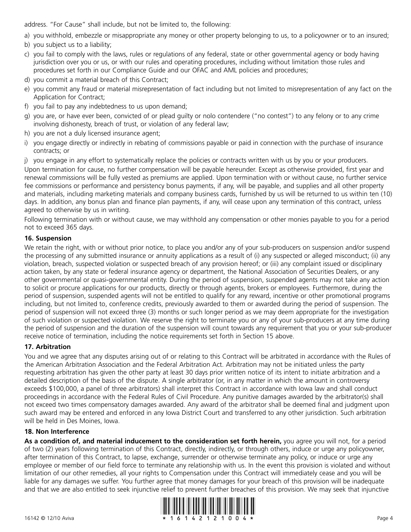address. "For Cause" shall include, but not be limited to, the following:

- a) you withhold, embezzle or misappropriate any money or other property belonging to us, to a policyowner or to an insured;
- b) you subject us to a liability;
- c) you fail to comply with the laws, rules or regulations of any federal, state or other governmental agency or body having jurisdiction over you or us, or with our rules and operating procedures, including without limitation those rules and procedures set forth in our Compliance Guide and our OFAC and AML policies and procedures;
- d) you commit a material breach of this Contract;
- e) you commit any fraud or material misrepresentation of fact including but not limited to misrepresentation of any fact on the Application for Contract;
- f) you fail to pay any indebtedness to us upon demand;
- g) you are, or have ever been, convicted of or plead guilty or nolo contendere ("no contest") to any felony or to any crime involving dishonesty, breach of trust, or violation of any federal law;
- h) you are not a duly licensed insurance agent;
- i) you engage directly or indirectly in rebating of commissions payable or paid in connection with the purchase of insurance contracts; or
- j) you engage in any effort to systematically replace the policies or contracts written with us by you or your producers.

Upon termination for cause, no further compensation will be payable hereunder. Except as otherwise provided, first year and renewal commissions will be fully vested as premiums are applied. Upon termination with or without cause, no further service fee commissions or performance and persistency bonus payments, if any, will be payable, and supplies and all other property and materials, including marketing materials and company business cards, furnished by us will be returned to us within ten (10) days. In addition, any bonus plan and finance plan payments, if any, will cease upon any termination of this contract, unless agreed to otherwise by us in writing.

Following termination with or without cause, we may withhold any compensation or other monies payable to you for a period not to exceed 365 days.

#### **16. Suspension**

We retain the right, with or without prior notice, to place you and/or any of your sub-producers on suspension and/or suspend the processing of any submitted insurance or annuity applications as a result of (i) any suspected or alleged misconduct; (ii) any violation, breach, suspected violation or suspected breach of any provision hereof; or (iii) any complaint issued or disciplinary action taken, by any state or federal insurance agency or department, the National Association of Securities Dealers, or any other governmental or quasi-governmental entity. During the period of suspension, suspended agents may not take any action to solicit or procure applications for our products, directly or through agents, brokers or employees. Furthermore, during the period of suspension, suspended agents will not be entitled to qualify for any reward, incentive or other promotional programs including, but not limited to, conference credits, previously awarded to them or awarded during the period of suspension. The period of suspension will not exceed three (3) months or such longer period as we may deem appropriate for the investigation of such violation or suspected violation. We reserve the right to terminate you or any of your sub-producers at any time during the period of suspension and the duration of the suspension will count towards any requirement that you or your sub-producer receive notice of termination, including the notice requirements set forth in Section 15 above.

#### **17. Arbitration**

You and we agree that any disputes arising out of or relating to this Contract will be arbitrated in accordance with the Rules of the American Arbitration Association and the Federal Arbitration Act. Arbitration may not be initiated unless the party requesting arbitration has given the other party at least 30 days prior written notice of its intent to initiate arbitration and a detailed description of the basis of the dispute. A single arbitrator (or, in any matter in which the amount in controversy exceeds \$100,000, a panel of three arbitrators) shall interpret this Contract in accordance with Iowa law and shall conduct proceedings in accordance with the Federal Rules of Civil Procedure. Any punitive damages awarded by the arbitrator(s) shall not exceed two times compensatory damages awarded. Any award of the arbitrator shall be deemed final and judgment upon such award may be entered and enforced in any Iowa District Court and transferred to any other jurisdiction. Such arbitration will be held in Des Moines, Iowa.

#### **18. Non Interference**

**As a condition of, and material inducement to the consideration set forth herein,** you agree you will not, for a period of two (2) years following termination of this Contract, directly, indirectly, or through others, induce or urge any policyowner, after termination of this Contract, to lapse, exchange, surrender or otherwise terminate any policy, or induce or urge any employee or member of our field force to terminate any relationship with us. In the event this provision is violated and without limitation of our other remedies, all your rights to Compensation under this Contract will immediately cease and you will be liable for any damages we suffer. You further agree that money damages for your breach of this provision will be inadequate and that we are also entitled to seek injunctive relief to prevent further breaches of this provision. We may seek that injunctive

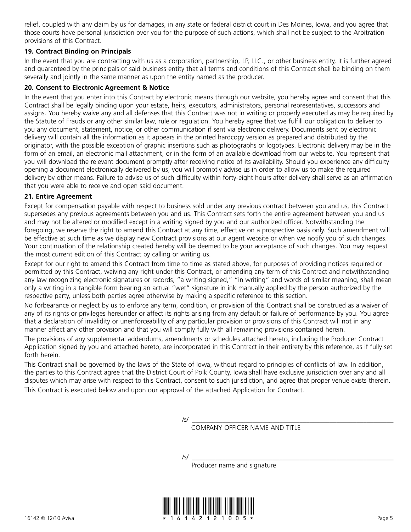relief, coupled with any claim by us for damages, in any state or federal district court in Des Moines, Iowa, and you agree that those courts have personal jurisdiction over you for the purpose of such actions, which shall not be subject to the Arbitration provisions of this Contract.

#### **19. Contract Binding on Principals**

In the event that you are contracting with us as a corporation, partnership, LP, LLC., or other business entity, it is further agreed and guaranteed by the principals of said business entity that all terms and conditions of this Contract shall be binding on them severally and jointly in the same manner as upon the entity named as the producer.

#### **20. Consent to Electronic Agreement & Notice**

In the event that you enter into this Contract by electronic means through our website, you hereby agree and consent that this Contract shall be legally binding upon your estate, heirs, executors, administrators, personal representatives, successors and assigns. You hereby waive any and all defenses that this Contract was not in writing or properly executed as may be required by the Statute of Frauds or any other similar law, rule or regulation. You hereby agree that we fulfill our obligation to deliver to you any document, statement, notice, or other communication if sent via electronic delivery. Documents sent by electronic delivery will contain all the information as it appears in the printed hardcopy version as prepared and distributed by the originator, with the possible exception of graphic insertions such as photographs or logotypes. Electronic delivery may be in the form of an email, an electronic mail attachment, or in the form of an available download from our website. You represent that you will download the relevant document promptly after receiving notice of its availability. Should you experience any difficulty opening a document electronically delivered by us, you will promptly advise us in order to allow us to make the required delivery by other means. Failure to advise us of such difficulty within forty-eight hours after delivery shall serve as an affirmation that you were able to receive and open said document.

#### **21. Entire Agreement**

Except for compensation payable with respect to business sold under any previous contract between you and us, this Contract supersedes any previous agreements between you and us. This Contract sets forth the entire agreement between you and us and may not be altered or modified except in a writing signed by you and our authorized officer. Notwithstanding the foregoing, we reserve the right to amend this Contract at any time, effective on a prospective basis only. Such amendment will be effective at such time as we display new Contract provisions at our agent website or when we notify you of such changes. Your continuation of the relationship created hereby will be deemed to be your acceptance of such changes. You may request the most current edition of this Contract by calling or writing us.

Except for our right to amend this Contract from time to time as stated above, for purposes of providing notices required or permitted by this Contract, waiving any right under this Contract, or amending any term of this Contract and notwithstanding any law recognizing electronic signatures or records, "a writing signed," "in writing" and words of similar meaning, shall mean only a writing in a tangible form bearing an actual "wet" signature in ink manually applied by the person authorized by the respective party, unless both parties agree otherwise by making a specific reference to this section.

No forbearance or neglect by us to enforce any term, condition, or provision of this Contract shall be construed as a waiver of any of its rights or privileges hereunder or affect its rights arising from any default or failure of performance by you. You agree that a declaration of invalidity or unenforceability of any particular provision or provisions of this Contract will not in any manner affect any other provision and that you will comply fully with all remaining provisions contained herein.

The provisions of any supplemental addendums, amendments or schedules attached hereto, including the Producer Contract Application signed by you and attached hereto, are incorporated in this Contract in their entirety by this reference, as if fully set forth herein.

This Contract shall be governed by the laws of the State of Iowa, without regard to principles of conflicts of law. In addition, the parties to this Contract agree that the District Court of Polk County, Iowa shall have exclusive jurisdiction over any and all disputes which may arise with respect to this Contract, consent to such jurisdiction, and agree that proper venue exists therein. This Contract is executed below and upon our approval of the attached Application for Contract.

/s/ \_\_\_\_\_\_\_\_\_\_\_\_\_\_\_\_\_\_\_\_\_\_\_\_\_\_\_\_\_\_\_\_\_\_\_\_\_\_\_\_\_\_\_\_\_\_\_\_\_\_\_\_\_\_\_\_\_\_\_\_

COMPANY OFFICER NAME AND TITLE

/s/ \_\_\_\_\_\_\_\_\_\_\_\_\_\_\_\_\_\_\_\_\_\_\_\_\_\_\_\_\_\_\_\_\_\_\_\_\_\_\_\_\_\_\_\_\_\_\_\_\_\_\_\_\_\_\_\_\_\_\_\_

Producer name and signature

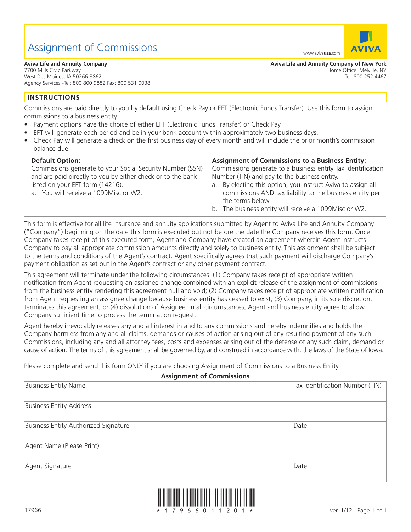# Assignment of Commissions www.aviva**usa**.com



**Aviva Life and Annuity Company**

**Aviva Life and Annuity Company of New York** Home Office: Melville, NY Tel: 800 252 4467

7700 Mills Civic Parkway West Des Moines, IA 50266-3862 Agency Services -Tel: 800 800 9882 Fax: 800 531 0038

#### **INSTRUCTIONS**

Commissions are paid directly to you by default using Check Pay or EFT (Electronic Funds Transfer). Use this form to assign commissions to a business entity.

- • Payment options have the choice of either EFT (Electronic Funds Transfer) or Check Pay.
- EFT will generate each period and be in your bank account within approximately two business days.
- Check Pay will generate a check on the first business day of every month and will include the prior month's commission balance due.

| <b>Default Option:</b>                                      | <b>Assignment of Commissions to a Business Entity:</b>                       |
|-------------------------------------------------------------|------------------------------------------------------------------------------|
| Commissions generate to your Social Security Number (SSN)   | Commissions generate to a business entity Tax Identification                 |
| and are paid directly to you by either check or to the bank | Number (TIN) and pay to the business entity.                                 |
| listed on your EFT form (14216).                            | a. By electing this option, you instruct Aviva to assign all                 |
| a. You will receive a 1099Misc or W2.                       | commissions AND tax liability to the business entity per<br>the terms below. |
|                                                             | b. The business entity will receive a 1099Misc or W2.                        |

This form is effective for all life insurance and annuity applications submitted by Agent to Aviva Life and Annuity Company ("Company") beginning on the date this form is executed but not before the date the Company receives this form. Once Company takes receipt of this executed form, Agent and Company have created an agreement wherein Agent instructs Company to pay all appropriate commission amounts directly and solely to business entity. This assignment shall be subject to the terms and conditions of the Agent's contract. Agent specifically agrees that such payment will discharge Company's payment obligation as set out in the Agent's contract or any other payment contract.

This agreement will terminate under the following circumstances: (1) Company takes receipt of appropriate written notification from Agent requesting an assignee change combined with an explicit release of the assignment of commissions from the business entity rendering this agreement null and void; (2) Company takes receipt of appropriate written notification from Agent requesting an assignee change because business entity has ceased to exist; (3) Company, in its sole discretion, terminates this agreement; or (4) dissolution of Assignee. In all circumstances, Agent and business entity agree to allow Company sufficient time to process the termination request.

Agent hereby irrevocably releases any and all interest in and to any commissions and hereby indemnifies and holds the Company harmless from any and all claims, demands or causes of action arising out of any resulting payment of any such Commissions, including any and all attorney fees, costs and expenses arising out of the defense of any such claim, demand or cause of action. The terms of this agreement shall be governed by, and construed in accordance with, the laws of the State of Iowa.

Please complete and send this form ONLY if you are choosing Assignment of Commissions to a Business Entity.

**Assignment of Commissions**

| <b>Business Entity Name</b>          | Tax Identification Number (TIN) |  |  |  |  |  |  |
|--------------------------------------|---------------------------------|--|--|--|--|--|--|
| <b>Business Entity Address</b>       |                                 |  |  |  |  |  |  |
| Business Entity Authorized Signature | Date                            |  |  |  |  |  |  |
| Agent Name (Please Print)            |                                 |  |  |  |  |  |  |
| Agent Signature                      | Date                            |  |  |  |  |  |  |
|                                      |                                 |  |  |  |  |  |  |

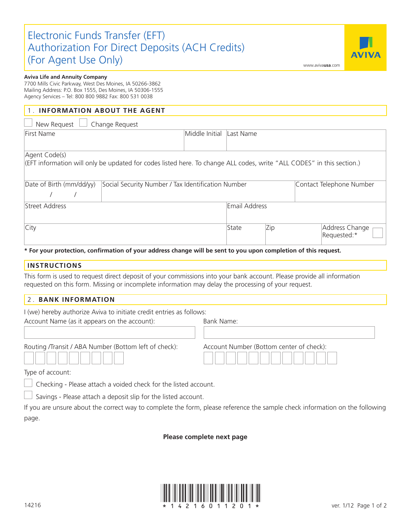## <span id="page-12-0"></span>Electronic Funds Transfer (EFT) Authorization For Direct Deposits (ACH Credits) (For Agent Use Only) www.aviva**usa**.com



#### **Aviva Life and Annuity Company**

7700 Mills Civic Parkway, West Des Moines, IA 50266-3862 Mailing Address: P.O. Box 1555, Des Moines, IA 50306-1555 Agency Services – Tel: 800 800 9882 Fax: 800 531 0038

| 1. INFORMATION ABOUT THE AGENT                                                                                                         |                |               |     |  |                               |  |  |  |
|----------------------------------------------------------------------------------------------------------------------------------------|----------------|---------------|-----|--|-------------------------------|--|--|--|
| New Request<br>Change Request                                                                                                          |                |               |     |  |                               |  |  |  |
| First Name                                                                                                                             | Middle Initial | Last Name     |     |  |                               |  |  |  |
| Agent Code(s)<br>(EFT information will only be updated for codes listed here. To change ALL codes, write "ALL CODES" in this section.) |                |               |     |  |                               |  |  |  |
| Social Security Number / Tax Identification Number<br>Date of Birth (mm/dd/yy)                                                         |                |               |     |  | Contact Telephone Number      |  |  |  |
| Street Address                                                                                                                         |                | Email Address |     |  |                               |  |  |  |
| City                                                                                                                                   |                | State         | Zip |  | Address Change<br>Requested:* |  |  |  |
| * For your protection, confirmation of your address change will be sent to you upon completion of this request.                        |                |               |     |  |                               |  |  |  |

#### **Instructions**

This form is used to request direct deposit of your commissions into your bank account. Please provide all information requested on this form. Missing or incomplete information may delay the processing of your request.

#### 2 . **Bank Information**

I (we) hereby authorize Aviva to initiate credit entries as follows:

Account Name (as it appears on the account): Bank Name:

Routing /Transit / ABA Number (Bottom left of check): Account August A

| Account Number (Bottom center of check): |  |  |  |  |  |  |  |  |  |  |  |  |
|------------------------------------------|--|--|--|--|--|--|--|--|--|--|--|--|
|                                          |  |  |  |  |  |  |  |  |  |  |  |  |

Type of account:

Checking - Please attach a voided check for the listed account.

Savings - Please attach a deposit slip for the listed account.

If you are unsure about the correct way to complete the form, please reference the sample check information on the following page.

#### **Please complete next page**

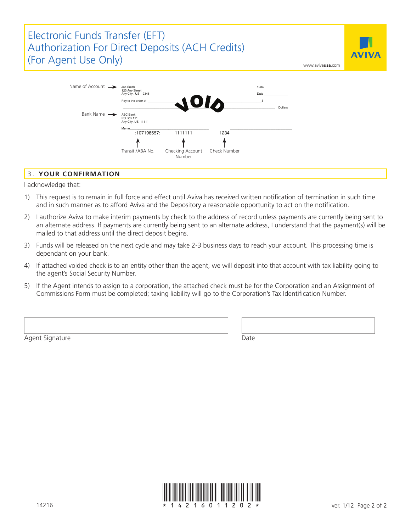## Electronic Funds Transfer (EFT) Authorization For Direct Deposits (ACH Credits) (For Agent Use Only) www.aviva**usa**.com





#### 3 . **Your Confirmation**

I acknowledge that:

- 1) This request is to remain in full force and effect until Aviva has received written notification of termination in such time and in such manner as to afford Aviva and the Depository a reasonable opportunity to act on the notification.
- 2) I authorize Aviva to make interim payments by check to the address of record unless payments are currently being sent to an alternate address. If payments are currently being sent to an alternate address, I understand that the payment(s) will be mailed to that address until the direct deposit begins.
- 3) Funds will be released on the next cycle and may take 2-3 business days to reach your account. This processing time is dependant on your bank.
- 4) If attached voided check is to an entity other than the agent, we will deposit into that account with tax liability going to the agent's Social Security Number.
- 5) If the Agent intends to assign to a corporation, the attached check must be for the Corporation and an Assignment of Commissions Form must be completed; taxing liability will go to the Corporation's Tax Identification Number.

Agent Signature Date Date of the Second Library and Date Date Date Date Date of the Date Date of the Date of the Date of the Date of the Date of the Date of the Date of the Date of the Date of the Date of the Date of the D